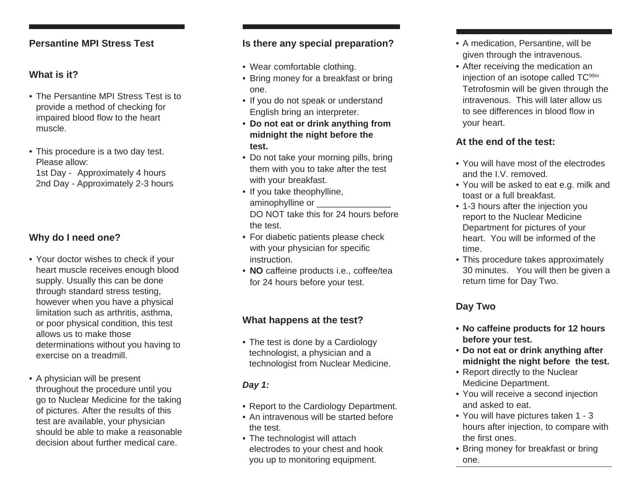#### **Persantine MPI Stress Test**

## **What is it?**

- The Persantine MPI Stress Test is to provide a method of checking for impaired blood flow to the heart muscle.
- This procedure is a two day test. Please allow: 1st Day - Approximately 4 hours 2nd Day - Approximately 2-3 hours

# **Why do I need one?**

- Your doctor wishes to check if your heart muscle receives enough blood supply. Usually this can be done through standard stress testing, however when you have a physical limitation such as arthritis, asthma, or poor physical condition, this test allows us to make those determinations without you having to exercise on a treadmill.
- A physician will be present throughout the procedure until you go to Nuclear Medicine for the taking of pictures. After the results of this test are available, your physician should be able to make a reasonable decision about further medical care.

#### **Is there any special preparation?**

- Wear comfortable clothing.
- Bring money for a breakfast or bring one.
- If you do not speak or understand English bring an interpreter.
- **Do not eat or drink anything from midnight the night before the test.**
- Do not take your morning pills, bring them with you to take after the test with your breakfast.
- If you take theophylline, aminophylline or DO NOT take this for 24 hours before the test.
- For diabetic patients please check with your physician for specific instruction.
- **NO** caffeine products i.e., coffee/tea for 24 hours before your test.

## **What happens at the test?**

• The test is done by a Cardiology technologist, a physician and a technologist from Nuclear Medicine.

#### *Day 1:*

- Report to the Cardiology Department.
- An intravenous will be started before the test.
- The technologist will attach electrodes to your chest and hook you up to monitoring equipment.
- A medication, Persantine, will be given through the intravenous.
- After receiving the medication an injection of an isotope called TC<sup>99m</sup> Tetrofosmin will be given through the intravenous. This will later allow us to see differences in blood flow in your heart.

### **At the end of the test:**

- You will have most of the electrodes and the I.V. removed.
- You will be asked to eat e.g. milk and toast or a full breakfast.
- 1-3 hours after the injection you report to the Nuclear Medicine Department for pictures of your heart. You will be informed of the time.
- This procedure takes approximately 30 minutes. You will then be given a return time for Day Two.

# **Day Two**

- **• No caffeine products for 12 hours before your test.**
- **Do not eat or drink anything after midnight the night before the test.**
- Report directly to the Nuclear Medicine Department.
- You will receive a second injection and asked to eat.
- You will have pictures taken 1 3 hours after injection, to compare with the first ones.
- Bring money for breakfast or bring one.